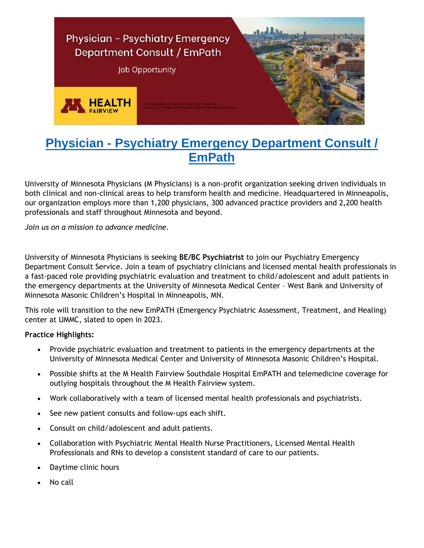

# **Physician - [Psychiatry Emergency Department Consult /](https://umphysicians.wd1.myworkdayjobs.com/en-US/umpcareers/job/Physician---Psychiatry-Emergency-Department-Consult---EmPath_R0016054-1)  [EmPath](https://umphysicians.wd1.myworkdayjobs.com/en-US/umpcareers/job/Physician---Psychiatry-Emergency-Department-Consult---EmPath_R0016054-1)**

University of Minnesota Physicians (M Physicians) is a non-profit organization seeking driven individuals in both clinical and non-clinical areas to help transform health and medicine. Headquartered in Minneapolis, our organization employs more than 1,200 physicians, 300 advanced practice providers and 2,200 health professionals and staff throughout Minnesota and beyond.

*Join us on a mission to advance medicine.*

University of Minnesota Physicians is seeking **BE/BC Psychiatrist** to join our Psychiatry Emergency Department Consult Service. Join a team of psychiatry clinicians and licensed mental health professionals in a fast-paced role providing psychiatric evaluation and treatment to child/adolescent and adult patients in the emergency departments at the University of Minnesota Medical Center – West Bank and University of Minnesota Masonic Children's Hospital in Minneapolis, MN.

This role will transition to the new EmPATH (Emergency Psychiatric Assessment, Treatment, and Healing) center at UMMC, slated to open in 2023.

#### **Practice Highlights:**

- Provide psychiatric evaluation and treatment to patients in the emergency departments at the University of Minnesota Medical Center and University of Minnesota Masonic Children's Hospital.
- Possible shifts at the M Health Fairview Southdale Hospital EmPATH and telemedicine coverage for outlying hospitals throughout the M Health Fairview system.
- Work collaboratively with a team of licensed mental health professionals and psychiatrists.
- See new patient consults and follow-ups each shift.
- Consult on child/adolescent and adult patients.
- Collaboration with Psychiatric Mental Health Nurse Practitioners, Licensed Mental Health Professionals and RNs to develop a consistent standard of care to our patients.
- Daytime clinic hours
- No call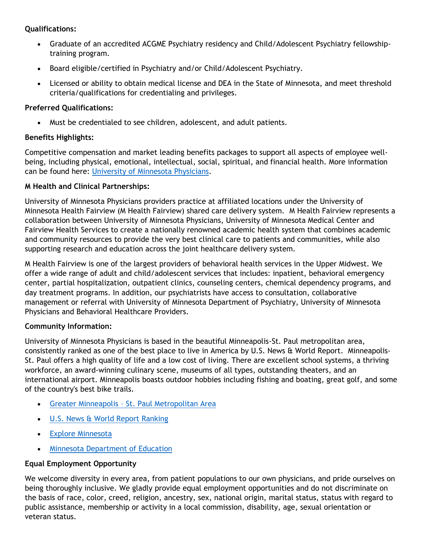## **Qualifications:**

- Graduate of an accredited ACGME Psychiatry residency and Child/Adolescent Psychiatry fellowshiptraining program.
- Board eligible/certified in Psychiatry and/or Child/Adolescent Psychiatry.
- Licensed or ability to obtain medical license and DEA in the State of Minnesota, and meet threshold criteria/qualifications for credentialing and privileges.

## **Preferred Qualifications:**

Must be credentialed to see children, adolescent, and adult patients.

## **Benefits Highlights:**

Competitive compensation and market leading benefits packages to support all aspects of employee wellbeing, including physical, emotional, intellectual, social, spiritual, and financial health. More information can be found here: University [of Minnesota Physicians.](https://mphysicians.org/careers)

## **M Health and Clinical Partnerships:**

University of Minnesota Physicians providers practice at affiliated locations under the University of Minnesota Health Fairview (M Health Fairview) shared care delivery system. M Health Fairview represents a collaboration between University of Minnesota Physicians, University of Minnesota Medical Center and Fairview Health Services to create a nationally renowned academic health system that combines academic and community resources to provide the very best clinical care to patients and communities, while also supporting research and education across the joint healthcare delivery system.

M Health Fairview is one of the largest providers of behavioral health services in the Upper Midwest. We offer a wide range of adult and child/adolescent services that includes: inpatient, behavioral emergency center, partial hospitalization, outpatient clinics, counseling centers, chemical dependency programs, and day treatment programs. In addition, our psychiatrists have access to consultation, collaborative management or referral with University of Minnesota Department of Psychiatry, University of Minnesota Physicians and Behavioral Healthcare Providers.

#### **Community Information:**

University of Minnesota Physicians is based in the beautiful Minneapolis-St. Paul metropolitan area, consistently ranked as one of the best place to live in America by U.S. News & World Report. Minneapolis-St. Paul offers a high quality of life and a low cost of living. There are excellent school systems, a thriving workforce, an award-winning culinary scene, museums of all types, outstanding theaters, and an international airport. Minneapolis boasts outdoor hobbies including fishing and boating, great golf, and some of the country's best bike trails.

- Greater Minneapolis [St. Paul Metropolitan Area](https://www.greatermsp.org/living-here/living-here/)
- [U.S. News & World Report Ranking](https://realestate.usnews.com/places/minnesota/minneapolis-st-paul)
- [Explore Minnesota](http://www.exploreminnesota.com/)
- [Minnesota Department of Education](http://www.education.state.mn.us/)

#### **Equal Employment Opportunity**

We welcome diversity in every area, from patient populations to our own physicians, and pride ourselves on being thoroughly inclusive. We gladly provide equal employment opportunities and do not discriminate on the basis of race, color, creed, religion, ancestry, sex, national origin, marital status, status with regard to public assistance, membership or activity in a local commission, disability, age, sexual orientation or veteran status.